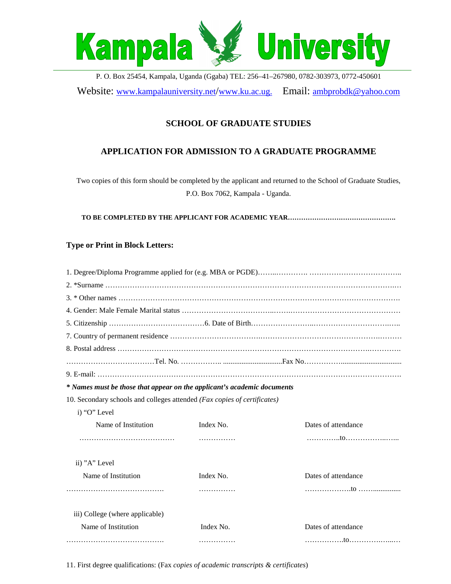

P. O. Box 25454, Kampala, Uganda (Ggaba) TEL: 256–41–267980, 0782-303973, 0772-450601 Website: www.kampalauniversity.net/www.ku.ac.ug. Email: ambprobdk@yahoo.com

# **SCHOOL OF GRADUATE STUDIES**

## **APPLICATION FOR ADMISSION TO A GRADUATE PROGRAMME**

Two copies of this form should be completed by the applicant and returned to the School of Graduate Studies, P.O. Box 7062, Kampala - Uganda.

**TO BE COMPLETED BY THE APPLICANT FOR ACADEMIC YEAR………………………………………….**

### **Type or Print in Block Letters:**

| * Names must be those that appear on the applicant's academic documents  |           |                     |
|--------------------------------------------------------------------------|-----------|---------------------|
| 10. Secondary schools and colleges attended (Fax copies of certificates) |           |                     |
| i) "O" Level                                                             |           |                     |
| Name of Institution                                                      | Index No. | Dates of attendance |
|                                                                          |           |                     |
| ii) "A" Level                                                            |           |                     |
| Name of Institution                                                      | Index No. | Dates of attendance |
|                                                                          |           |                     |
| iii) College (where applicable)                                          |           |                     |
| Name of Institution                                                      | Index No. | Dates of attendance |
|                                                                          | .         |                     |

11. First degree qualifications: (Fax *copies of academic transcripts & certificates*)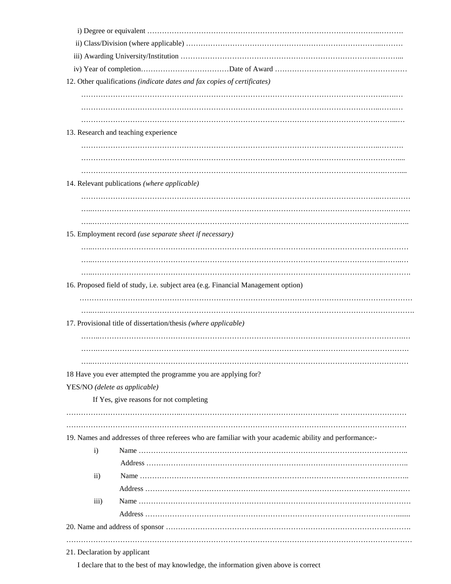|                              | 12. Other qualifications (indicate dates and fax copies of certificates)                                |
|------------------------------|---------------------------------------------------------------------------------------------------------|
|                              |                                                                                                         |
|                              |                                                                                                         |
|                              |                                                                                                         |
|                              | 13. Research and teaching experience                                                                    |
|                              |                                                                                                         |
|                              |                                                                                                         |
|                              |                                                                                                         |
|                              |                                                                                                         |
|                              | 14. Relevant publications (where applicable)                                                            |
|                              |                                                                                                         |
|                              |                                                                                                         |
|                              |                                                                                                         |
|                              | 15. Employment record (use separate sheet if necessary)                                                 |
|                              |                                                                                                         |
|                              |                                                                                                         |
|                              |                                                                                                         |
|                              | 16. Proposed field of study, i.e. subject area (e.g. Financial Management option)                       |
|                              |                                                                                                         |
|                              |                                                                                                         |
|                              | 17. Provisional title of dissertation/thesis (where applicable)                                         |
|                              |                                                                                                         |
|                              |                                                                                                         |
|                              |                                                                                                         |
|                              | 18 Have you ever attempted the programme you are applying for?                                          |
|                              | YES/NO (delete as applicable)                                                                           |
|                              | If Yes, give reasons for not completing                                                                 |
|                              |                                                                                                         |
|                              |                                                                                                         |
|                              |                                                                                                         |
|                              | 19. Names and addresses of three referees who are familiar with your academic ability and performance:- |
| $\mathbf{i}$                 |                                                                                                         |
|                              |                                                                                                         |
| $\overline{ii}$ )            |                                                                                                         |
|                              |                                                                                                         |
| iii)                         |                                                                                                         |
|                              |                                                                                                         |
|                              |                                                                                                         |
|                              |                                                                                                         |
| 21. Declaration by applicant |                                                                                                         |

I declare that to the best of may knowledge, the information given above is correct